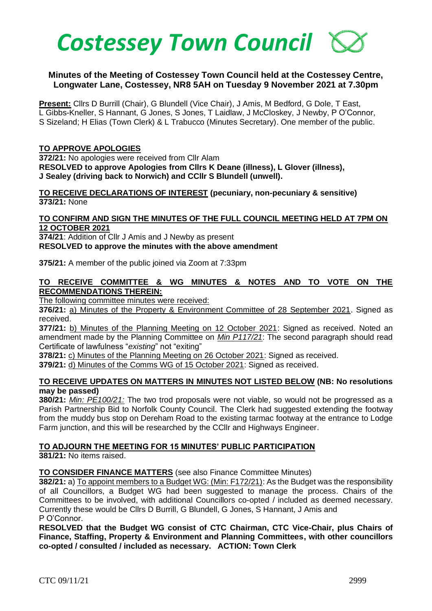

# **Minutes of the Meeting of Costessey Town Council held at the Costessey Centre, Longwater Lane, Costessey, NR8 5AH on Tuesday 9 November 2021 at 7.30pm**

**Present:** Cllrs D Burrill (Chair), G Blundell (Vice Chair), J Amis, M Bedford, G Dole, T East, L Gibbs-Kneller, S Hannant, G Jones, S Jones, T Laidlaw, J McCloskey, J Newby, P O'Connor, S Sizeland; H Elias (Town Clerk) & L Trabucco (Minutes Secretary). One member of the public.

#### **TO APPROVE APOLOGIES**

**372/21:** No apologies were received from Cllr Alam **RESOLVED to approve Apologies from Cllrs K Deane (illness), L Glover (illness), J Sealey (driving back to Norwich) and CCllr S Blundell (unwell).** 

**TO RECEIVE DECLARATIONS OF INTEREST (pecuniary, non-pecuniary & sensitive) 373/21:** None

### **TO CONFIRM AND SIGN THE MINUTES OF THE FULL COUNCIL MEETING HELD AT 7PM ON 12 OCTOBER 2021**

**374/21**: Addition of Cllr J Amis and J Newby as present **RESOLVED to approve the minutes with the above amendment**

**375/21:** A member of the public joined via Zoom at 7:33pm

### **TO RECEIVE COMMITTEE & WG MINUTES & NOTES AND TO VOTE ON THE RECOMMENDATIONS THEREIN:**

The following committee minutes were received:

**376/21:** a) Minutes of the Property & Environment Committee of 28 September 2021. Signed as received.

**377/21:** b) Minutes of the Planning Meeting on 12 October 2021: Signed as received. Noted an amendment made by the Planning Committee on *Min P117/21*: The second paragraph should read Certificate of lawfulness "*existing*" not "exiting"

**378/21:** c) Minutes of the Planning Meeting on 26 October 2021: Signed as received.

**379/21:** d) Minutes of the Comms WG of 15 October 2021: Signed as received.

### **TO RECEIVE UPDATES ON MATTERS IN MINUTES NOT LISTED BELOW (NB: No resolutions may be passed)**

**380/21:** *Min: PE100/21:* The two trod proposals were not viable, so would not be progressed as a Parish Partnership Bid to Norfolk County Council. The Clerk had suggested extending the footway from the muddy bus stop on Dereham Road to the existing tarmac footway at the entrance to Lodge Farm junction, and this will be researched by the CCllr and Highways Engineer.

# **TO ADJOURN THE MEETING FOR 15 MINUTES' PUBLIC PARTICIPATION**

**381/21:** No items raised.

**TO CONSIDER FINANCE MATTERS** (see also Finance Committee Minutes)

**382/21:** a) To appoint members to a Budget WG: (Min: F172/21): As the Budget was the responsibility of all Councillors, a Budget WG had been suggested to manage the process. Chairs of the Committees to be involved, with additional Councillors co-opted / included as deemed necessary. Currently these would be Cllrs D Burrill, G Blundell, G Jones, S Hannant, J Amis and P O'Connor.

**RESOLVED that the Budget WG consist of CTC Chairman, CTC Vice-Chair, plus Chairs of Finance, Staffing, Property & Environment and Planning Committees, with other councillors co-opted / consulted / included as necessary. ACTION: Town Clerk**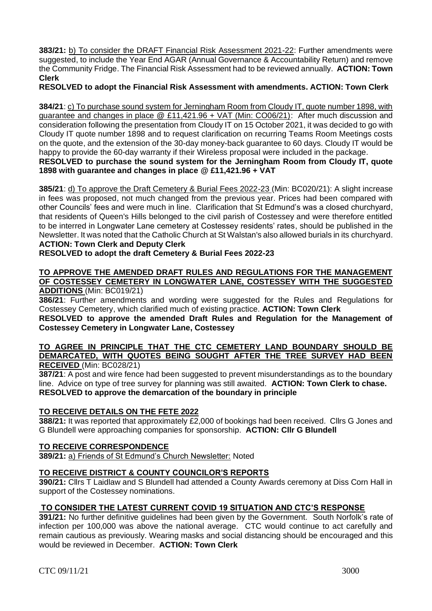**383/21:** b) To consider the DRAFT Financial Risk Assessment 2021-22: Further amendments were suggested, to include the Year End AGAR (Annual Governance & Accountability Return) and remove the Community Fridge. The Financial Risk Assessment had to be reviewed annually. **ACTION: Town Clerk**

**RESOLVED to adopt the Financial Risk Assessment with amendments. ACTION: Town Clerk** 

**384/21**: c) To purchase sound system for Jerningham Room from Cloudy IT, quote number 1898, with guarantee and changes in place @ £11,421.96 + VAT (Min: CO06/21): After much discussion and consideration following the presentation from Cloudy IT on 15 October 2021, it was decided to go with Cloudy IT quote number 1898 and to request clarification on recurring Teams Room Meetings costs on the quote, and the extension of the 30-day money-back guarantee to 60 days. Cloudy IT would be happy to provide the 60-day warranty if their Wireless proposal were included in the package.

**RESOLVED to purchase the sound system for the Jerningham Room from Cloudy IT, quote 1898 with guarantee and changes in place @ £11,421.96 + VAT**

**385/21**: d) To approve the Draft Cemetery & Burial Fees 2022-23 (Min: BC020/21): A slight increase in fees was proposed, not much changed from the previous year. Prices had been compared with other Councils' fees and were much in line. Clarification that St Edmund's was a closed churchyard, that residents of Queen's Hills belonged to the civil parish of Costessey and were therefore entitled to be interred in Longwater Lane cemetery at Costessey residents' rates, should be published in the Newsletter. It was noted that the Catholic Church at St Walstan's also allowed burials in its churchyard. **ACTION: Town Clerk and Deputy Clerk**

**RESOLVED to adopt the draft Cemetery & Burial Fees 2022-23**

#### **TO APPROVE THE AMENDED DRAFT RULES AND REGULATIONS FOR THE MANAGEMENT OF COSTESSEY CEMETERY IN LONGWATER LANE, COSTESSEY WITH THE SUGGESTED ADDITIONS** (Min: BC019/21)

**386/21**: Further amendments and wording were suggested for the Rules and Regulations for Costessey Cemetery, which clarified much of existing practice. **ACTION: Town Clerk**

**RESOLVED to approve the amended Draft Rules and Regulation for the Management of Costessey Cemetery in Longwater Lane, Costessey**

#### **TO AGREE IN PRINCIPLE THAT THE CTC CEMETERY LAND BOUNDARY SHOULD BE DEMARCATED, WITH QUOTES BEING SOUGHT AFTER THE TREE SURVEY HAD BEEN RECEIVED** (Min: BC028/21)

**387/21**: A post and wire fence had been suggested to prevent misunderstandings as to the boundary line. Advice on type of tree survey for planning was still awaited. **ACTION: Town Clerk to chase. RESOLVED to approve the demarcation of the boundary in principle**

# **TO RECEIVE DETAILS ON THE FETE 2022**

**388/21:** It was reported that approximately £2,000 of bookings had been received. Cllrs G Jones and G Blundell were approaching companies for sponsorship. **ACTION: Cllr G Blundell**

### **TO RECEIVE CORRESPONDENCE**

**389/21:** a) Friends of St Edmund's Church Newsletter: Noted

# **TO RECEIVE DISTRICT & COUNTY COUNCILOR'S REPORTS**

**390/21:** Cllrs T Laidlaw and S Blundell had attended a County Awards ceremony at Diss Corn Hall in support of the Costessey nominations.

### **TO CONSIDER THE LATEST CURRENT COVID 19 SITUATION AND CTC'S RESPONSE**

**391/21:** No further definitive guidelines had been given by the Government. South Norfolk's rate of infection per 100,000 was above the national average. CTC would continue to act carefully and remain cautious as previously. Wearing masks and social distancing should be encouraged and this would be reviewed in December. **ACTION: Town Clerk**